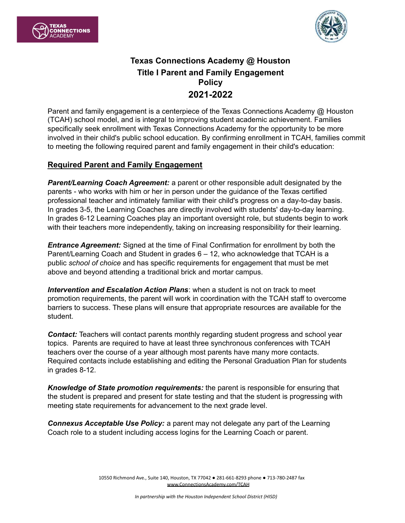



# **Texas Connections Academy @ Houston Title I Parent and Family Engagement Policy 2021-2022**

Parent and family engagement is a centerpiece of the Texas Connections Academy @ Houston (TCAH) school model, and is integral to improving student academic achievement. Families specifically seek enrollment with Texas Connections Academy for the opportunity to be more involved in their child's public school education. By confirming enrollment in TCAH, families commit to meeting the following required parent and family engagement in their child's education:

#### **Required Parent and Family Engagement**

*Parent/Learning Coach Agreement:* a parent or other responsible adult designated by the parents - who works with him or her in person under the guidance of the Texas certified professional teacher and intimately familiar with their child's progress on a day-to-day basis. In grades 3-5, the Learning Coaches are directly involved with students' day-to-day learning. In grades 6-12 Learning Coaches play an important oversight role, but students begin to work with their teachers more independently, taking on increasing responsibility for their learning.

*Entrance Agreement:* Signed at the time of Final Confirmation for enrollment by both the Parent/Learning Coach and Student in grades 6 – 12, who acknowledge that TCAH is a public *school of choice* and has specific requirements for engagement that must be met above and beyond attending a traditional brick and mortar campus.

*Intervention and Escalation Action Plans*: when a student is not on track to meet promotion requirements, the parent will work in coordination with the TCAH staff to overcome barriers to success. These plans will ensure that appropriate resources are available for the student.

**Contact:** Teachers will contact parents monthly regarding student progress and school year topics. Parents are required to have at least three synchronous conferences with TCAH teachers over the course of a year although most parents have many more contacts. Required contacts include establishing and editing the Personal Graduation Plan for students in grades 8-12.

*Knowledge of State promotion requirements:* the parent is responsible for ensuring that the student is prepared and present for state testing and that the student is progressing with meeting state requirements for advancement to the next grade level.

*Connexus Acceptable Use Policy:* a parent may not delegate any part of the Learning Coach role to a student including access logins for the Learning Coach or parent.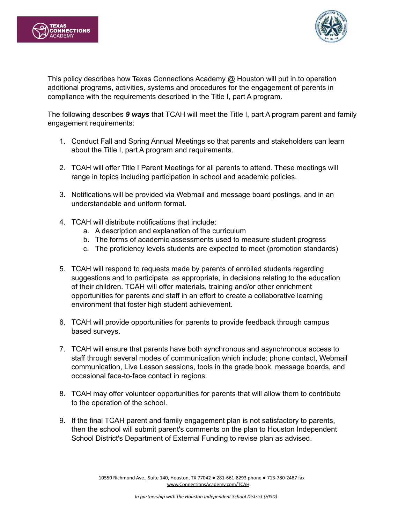



This policy describes how Texas Connections Academy @ Houston will put in.to operation additional programs, activities, systems and procedures for the engagement of parents in compliance with the requirements described in the Title I, part A program.

The following describes *9 ways* that TCAH will meet the Title I, part A program parent and family engagement requirements:

- 1. Conduct Fall and Spring Annual Meetings so that parents and stakeholders can learn about the Title I, part A program and requirements.
- 2. TCAH will offer Title I Parent Meetings for all parents to attend. These meetings will range in topics including participation in school and academic policies.
- 3. Notifications will be provided via Webmail and message board postings, and in an understandable and uniform format.
- 4. TCAH will distribute notifications that include:
	- a. A description and explanation of the curriculum
	- b. The forms of academic assessments used to measure student progress
	- c. The proficiency levels students are expected to meet (promotion standards)
- 5. TCAH will respond to requests made by parents of enrolled students regarding suggestions and to participate, as appropriate, in decisions relating to the education of their children. TCAH will offer materials, training and/or other enrichment opportunities for parents and staff in an effort to create a collaborative learning environment that foster high student achievement.
- 6. TCAH will provide opportunities for parents to provide feedback through campus based surveys.
- 7. TCAH will ensure that parents have both synchronous and asynchronous access to staff through several modes of communication which include: phone contact, Webmail communication, Live Lesson sessions, tools in the grade book, message boards, and occasional face-to-face contact in regions.
- 8. TCAH may offer volunteer opportunities for parents that will allow them to contribute to the operation of the school.
- 9. If the final TCAH parent and family engagement plan is not satisfactory to parents, then the school will submit parent's comments on the plan to Houston Independent School District's Department of External Funding to revise plan as advised.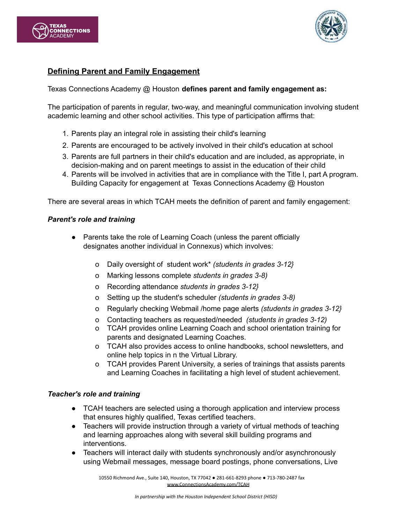



## **Defining Parent and Family Engagement**

Texas Connections Academy @ Houston **defines parent and family engagement as:**

The participation of parents in regular, two-way, and meaningful communication involving student academic learning and other school activities. This type of participation affirms that:

- 1. Parents play an integral role in assisting their child's learning
- 2. Parents are encouraged to be actively involved in their child's education at school
- 3. Parents are full partners in their child's education and are included, as appropriate, in decision-making and on parent meetings to assist in the education of their child
- 4. Parents will be involved in activities that are in compliance with the Title I, part A program. Building Capacity for engagement at Texas Connections Academy @ Houston

There are several areas in which TCAH meets the definition of parent and family engagement:

#### *Parent's role and training*

- Parents take the role of Learning Coach (unless the parent officially designates another individual in Connexus) which involves:
	- o Daily oversight of student work\* *(students in grades 3-12}*
	- o Marking lessons complete *students in grades 3-8)*
	- o Recording attendance *students in grades 3-12}*
	- o Setting up the student's scheduler *(students in grades 3-8)*
	- o Regularly checking Webmail /home page alerts *(students in grades 3-12}*
	- o Contacting teachers as requested/needed *(students in grades 3-12)*
	- o TCAH provides online Learning Coach and school orientation training for parents and designated Learning Coaches.
	- o TCAH also provides access to online handbooks, school newsletters, and online help topics in n the Virtual Library.
	- o TCAH provides Parent University, a series of trainings that assists parents and Learning Coaches in facilitating a high level of student achievement.

#### *Teacher's role and training*

- TCAH teachers are selected using a thorough application and interview process that ensures highly qualified, Texas certified teachers.
- Teachers will provide instruction through a variety of virtual methods of teaching and learning approaches along with several skill building programs and interventions.
- Teachers will interact daily with students synchronously and/or asynchronously using Webmail messages, message board postings, phone conversations, Live

10550 Richmond Ave., Suite 140, Houston, TX 77042 ● 281-661-8293 phone ● 713-780-2487 fax [www.ConnectionsAcademy.com/TCAH](http://www.connectionsacademy.com/TCAH)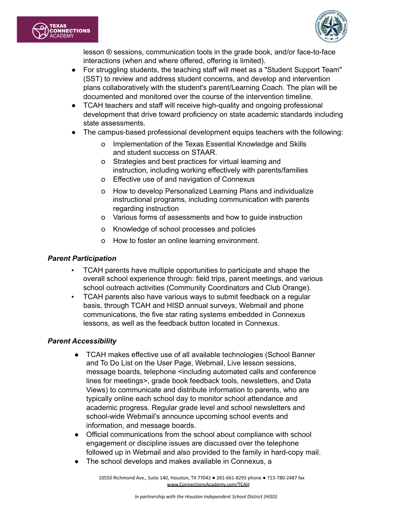



lesson ® sessions, communication tools in the grade book, and/or face-to-face interactions (when and where offered, offering is limited).

- For struggling students, the teaching staff will meet as a "Student Support Team" (SST) to review and address student concerns, and develop and intervention plans collaboratively with the student's parent/Learning Coach. The plan will be documented and monitored over the course of the intervention timeline.
- TCAH teachers and staff will receive high-quality and ongoing professional development that drive toward proficiency on state academic standards including state assessments.
- The campus-based professional development equips teachers with the following:
	- o Implementation of the Texas Essential Knowledge and Skills and student success on STAAR.
	- o Strategies and best practices for virtual learning and instruction, including working effectively with parents/families
	- o Effective use of and navigation of Connexus
	- o How to develop Personalized Learning Plans and individualize instructional programs, including communication with parents regarding instruction
	- o Various forms of assessments and how to guide instruction
	- o Knowledge of school processes and policies
	- o How to foster an online learning environment.

#### *Parent Participation*

- TCAH parents have multiple opportunities to participate and shape the overall school experience through: field trips, parent meetings, and various school outreach activities (Community Coordinators and Club Orange).
- TCAH parents also have various ways to submit feedback on a regular basis, through TCAH and HISD annual surveys, Webmail and phone communications, the five star rating systems embedded in Connexus lessons, as well as the feedback button located in Connexus.

#### *Parent Accessibility*

- TCAH makes effective use of all available technologies (School Banner and To Do List on the User Page, Webmail, Live lesson sessions, message boards, telephone <including automated calls and conference lines for meetings>, grade book feedback tools, newsletters, and Data Views) to communicate and distribute information to parents, who are typically online each school day to monitor school attendance and academic progress. Regular grade level and school newsletters and school-wide Webmail's announce upcoming school events and information, and message boards.
- Official communications from the school about compliance with school engagement or discipline issues are discussed over the telephone followed up in Webmail and also provided to the family in hard-copy mail.
- The school develops and makes available in Connexus, a

10550 Richmond Ave., Suite 140, Houston, TX 77042 ● 281-661-8293 phone ● 713-780-2487 fax [www.ConnectionsAcademy.com/TCAH](http://www.connectionsacademy.com/TCAH)